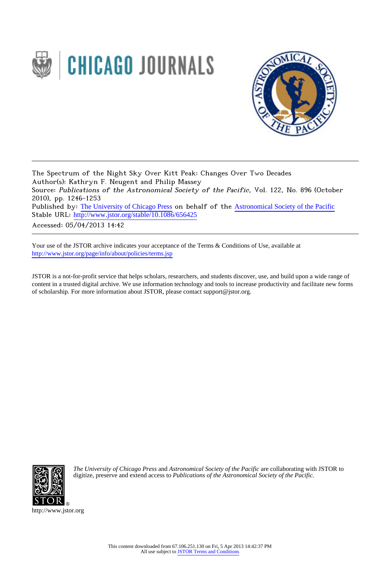



The Spectrum of the Night Sky Over Kitt Peak: Changes Over Two Decades Author(s): Kathryn F. Neugent and Philip Massey Source: Publications of the Astronomical Society of the Pacific, Vol. 122, No. 896 (October 2010), pp. 1246-1253 Published by: [The University of Chicago Press](http://www.jstor.org/action/showPublisher?publisherCode=ucpress) on behalf of the [Astronomical Society of the Pacific](http://www.jstor.org/action/showPublisher?publisherCode=astrosocpac) Stable URL: http://www.jstor.org/stable/10.1086/656425

Accessed: 05/04/2013 14:42

Your use of the JSTOR archive indicates your acceptance of the Terms & Conditions of Use, available at <http://www.jstor.org/page/info/about/policies/terms.jsp>

JSTOR is a not-for-profit service that helps scholars, researchers, and students discover, use, and build upon a wide range of content in a trusted digital archive. We use information technology and tools to increase productivity and facilitate new forms of scholarship. For more information about JSTOR, please contact support@jstor.org.



*The University of Chicago Press* and *Astronomical Society of the Pacific* are collaborating with JSTOR to digitize, preserve and extend access to *Publications of the Astronomical Society of the Pacific.*

http://www.jstor.org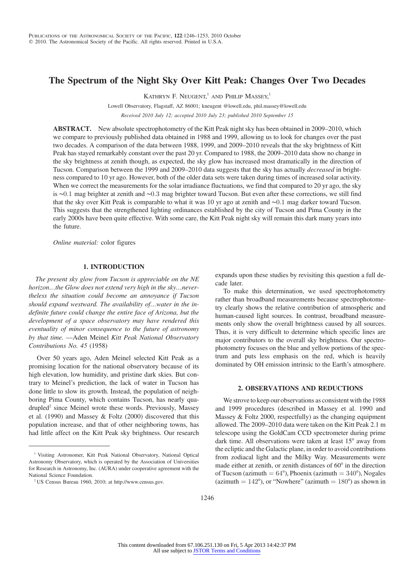# The Spectrum of the Night Sky Over Kitt Peak: Changes Over Two Decades

KATHRYN F. NEUGENT,<sup>1</sup> AND PHILIP MASSEY,<sup>1</sup>

Lowell Observatory, Flagstaff, AZ 86001; kneugent @lowell.edu, phil.massey@lowell.edu Received 2010 July 12; accepted 2010 July 23; published 2010 September 15

ABSTRACT. New absolute spectrophotometry of the Kitt Peak night sky has been obtained in 2009–2010, which we compare to previously published data obtained in 1988 and 1999, allowing us to look for changes over the past two decades. A comparison of the data between 1988, 1999, and 2009–2010 reveals that the sky brightness of Kitt Peak has stayed remarkably constant over the past 20 yr. Compared to 1988, the 2009–2010 data show no change in the sky brightness at zenith though, as expected, the sky glow has increased most dramatically in the direction of Tucson. Comparison between the 1999 and 2009–2010 data suggests that the sky has actually decreased in brightness compared to 10 yr ago. However, both of the older data sets were taken during times of increased solar activity. When we correct the measurements for the solar irradiance fluctuations, we find that compared to 20 yr ago, the sky is ∼0:1 mag brighter at zenith and ∼0:3 mag brighter toward Tucson. But even after these corrections, we still find that the sky over Kitt Peak is comparable to what it was 10 yr ago at zenith and ∼0:1 mag darker toward Tucson. This suggests that the strengthened lighting ordinances established by the city of Tucson and Pima County in the early 2000s have been quite effective. With some care, the Kitt Peak night sky will remain this dark many years into the future.

Online material: color figures

## 1. INTRODUCTION

The present sky glow from Tucson is appreciable on the NE horizon...the Glow does not extend very high in the sky...nevertheless the situation could become an annoyance if Tucson should expand westward. The availability of…water in the indefinite future could change the entire face of Arizona, but the development of a space observatory may have rendered this eventuality of minor consequence to the future of astronomy by that time. —Aden Meinel Kitt Peak National Observatory Contributions No. 45 (1958)

Over 50 years ago, Aden Meinel selected Kitt Peak as a promising location for the national observatory because of its high elevation, low humidity, and pristine dark skies. But contrary to Meinel's prediction, the lack of water in Tucson has done little to slow its growth. Instead, the population of neighboring Pima County, which contains Tucson, has nearly quadrupled<sup>2</sup> since Meinel wrote these words. Previously, Massey et al. (1990) and Massey & Foltz (2000) discovered that this population increase, and that of other neighboring towns, has had little affect on the Kitt Peak sky brightness. Our research

expands upon these studies by revisiting this question a full decade later.

To make this determination, we used spectrophotometry rather than broadband measurements because spectrophotometry clearly shows the relative contribution of atmospheric and human-caused light sources. In contrast, broadband measurements only show the overall brightness caused by all sources. Thus, it is very difficult to determine which specific lines are major contributors to the overall sky brightness. Our spectrophotometry focuses on the blue and yellow portions of the spectrum and puts less emphasis on the red, which is heavily dominated by OH emission intrinsic to the Earth's atmosphere.

#### 2. OBSERVATIONS AND REDUCTIONS

We strove to keep our observations as consistent with the 1988 and 1999 procedures (described in Massey et al. 1990 and Massey & Foltz 2000, respectfully) as the changing equipment allowed. The 2009–2010 data were taken on the Kitt Peak 2.1 m telescope using the GoldCam CCD spectrometer during prime dark time. All observations were taken at least 15° away from the ecliptic and the Galactic plane, in order to avoid contributions from zodiacal light and the Milky Way. Measurements were made either at zenith, or zenith distances of 60° in the direction of Tucson (azimuth  $= 64^{\circ}$ ), Phoenix (azimuth  $= 340^{\circ}$ ), Nogales (azimuth  $= 142^{\circ}$ ), or "Nowhere" (azimuth  $= 180^{\circ}$ ) as shown in

<sup>&</sup>lt;sup>1</sup> Visiting Astronomer, Kitt Peak National Observatory, National Optical Astronomy Observatory, which is operated by the Association of Universities for Research in Astronomy, Inc. (AURA) under cooperative agreement with the National Science Foundation.

<sup>2</sup> US Census Bureau 1960, 2010; at http://www.census.gov.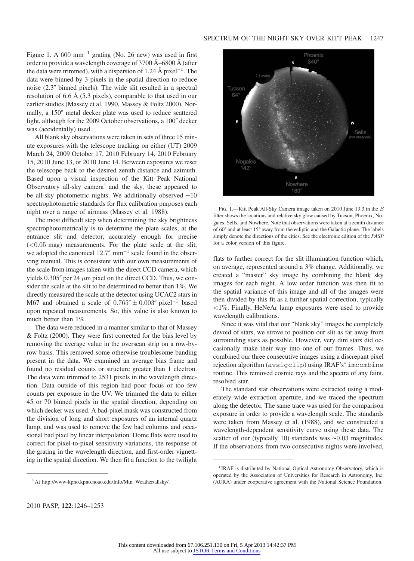Figure 1. A  $600 \text{ mm}^{-1}$  grating (No. 26 new) was used in first order to provide a wavelength coverage of 3700 Å–6800 Å (after the data were trimmed), with a dispersion of 1.24 Å pixel<sup>-1</sup>. The data were binned by 3 pixels in the spatial direction to reduce noise (2.3″ binned pixels). The wide slit resulted in a spectral resolution of 6.6 Å (5.3 pixels), comparable to that used in our earlier studies (Massey et al. 1990, Massey & Foltz 2000). Normally, a 150″ metal decker plate was used to reduce scattered light, although for the 2009 October observations, a 100″ decker was (accidentally) used.

All blank sky observations were taken in sets of three 15 minute exposures with the telescope tracking on either (UT) 2009 March 24, 2009 October 17, 2010 February 14, 2010 February 15, 2010 June 13, or 2010 June 14. Between exposures we reset the telescope back to the desired zenith distance and azimuth. Based upon a visual inspection of the Kitt Peak National Observatory all-sky camera<sup>3</sup> and the sky, these appeared to be all-sky photometric nights. We additionally observed ∼10 spectrophotometric standards for flux calibration purposes each night over a range of airmass (Massey et al. 1988).

The most difficult step when determining the sky brightness spectrophotometrically is to determine the plate scales, at the entrance slit and detector, accurately enough for precise  $(<0.05$  mag) measurements. For the plate scale at the slit, we adopted the canonical  $12.7''$  mm<sup>-1</sup> scale found in the observing manual. This is consistent with our own measurements of the scale from images taken with the direct CCD camera, which yields 0.305" per 24  $\mu$ m pixel on the direct CCD. Thus, we consider the scale at the slit to be determined to better than 1%. We directly measured the scale at the detector using UCAC2 stars in M67 and obtained a scale of  $0.765'' \pm 0.003''$  pixel<sup>-1</sup> based upon repeated measurements. So, this value is also known to much better than 1%.

The data were reduced in a manner similar to that of Massey & Foltz (2000). They were first corrected for the bias level by removing the average value in the overscan strip on a row-byrow basis. This removed some otherwise troublesome banding present in the data. We examined an average bias frame and found no residual counts or structure greater than 1 electron. The data were trimmed to 2531 pixels in the wavelength direction. Data outside of this region had poor focus or too few counts per exposure in the UV. We trimmed the data to either 45 or 70 binned pixels in the spatial direction, depending on which decker was used. A bad-pixel mask was constructed from the division of long and short exposures of an internal quartz lamp, and was used to remove the few bad columns and occasional bad pixel by linear interpolation. Dome flats were used to correct for pixel-to-pixel sensitivity variations, the response of the grating in the wavelength direction, and first-order vignetting in the spatial direction. We then fit a function to the twilight



FIG. 1.—Kitt Peak All-Sky Camera image taken on 2010 June 13.3 in the B filter shows the locations and relative sky glow caused by Tucson, Phoenix, Nogales, Sells, and Nowhere. Note that observations were taken at a zenith distance of 60° and at least 15° away from the ecliptic and the Galactic plane. The labels simply denote the directions of the cities. See the electronic edition of the *PASP* for a color version of this figure.

flats to further correct for the slit illumination function which, on average, represented around a 3% change. Additionally, we created a "master" sky image by combining the blank sky images for each night. A low order function was then fit to the spatial variance of this image and all of the images were then divided by this fit as a further spatial correction, typically  $\langle 1\% \rangle$ . Finally, HeNeAr lamp exposures were used to provide wavelength calibrations.

Since it was vital that our "blank sky" images be completely devoid of stars, we strove to position our slit as far away from surrounding stars as possible. However, very dim stars did occasionally make their way into one of our frames. Thus, we combined our three consecutive images using a discrepant pixel rejection algorithm (avsigclip) using IRAF'<sup>s</sup> 4 routine. This removed cosmic rays and the spectra of any faint, resolved star.

The standard star observations were extracted using a moderately wide extraction aperture, and we traced the spectrum along the detector. The same trace was used for the comparison exposure in order to provide a wavelength scale. The standards were taken from Massey et al. (1988), and we constructed a wavelength-dependent sensitivity curve using these data. The scatter of our (typically 10) standards was ∼0.03 magnitudes. If the observations from two consecutive nights were involved,

<sup>&</sup>lt;sup>3</sup> At http://www-kpno.kpno.noao.edu/Info/Mtn\_Weather/allsky/.

<sup>&</sup>lt;sup>4</sup> IRAF is distributed by National Optical Astronomy Observatory, which is operated by the Association of Universities for Research in Astronomy, Inc. (AURA) under cooperative agreement with the National Science Foundation.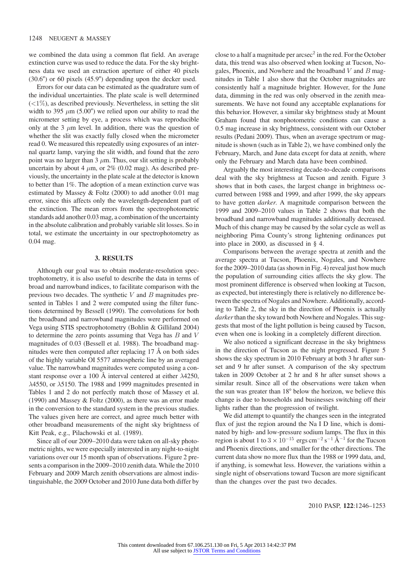we combined the data using a common flat field. An average extinction curve was used to reduce the data. For the sky brightness data we used an extraction aperture of either 40 pixels (30.6″) or 60 pixels (45.9″) depending upon the decker used.

Errors for our data can be estimated as the quadrature sum of the individual uncertainties. The plate scale is well determined  $(<1\%)$ , as described previously. Nevertheless, in setting the slit width to 395  $\mu$ m (5.00") we relied upon our ability to read the micrometer setting by eye, a process which was reproducible only at the 3  $\mu$ m level. In addition, there was the question of whether the slit was exactly fully closed when the micrometer read 0. We measured this repeatedly using exposures of an internal quartz lamp, varying the slit width, and found that the zero point was no larger than  $3 \mu$ m. Thus, our slit setting is probably uncertain by about 4  $\mu$ m, or 2% (0.02 mag). As described previously, the uncertainty in the plate scale at the detector is known to better than 1%. The adoption of a mean extinction curve was estimated by Massey & Foltz (2000) to add another 0.01 mag error, since this affects only the wavelength-dependent part of the extinction. The mean errors from the spectrophotometric standards add another 0.03 mag, a combination of the uncertainty in the absolute calibration and probably variable slit losses. So in total, we estimate the uncertainty in our spectrophotometry as 0.04 mag.

### 3. RESULTS

Although our goal was to obtain moderate-resolution spectrophotometry, it is also useful to describe the data in terms of broad and narrowband indices, to facilitate comparison with the previous two decades. The synthetic  $V$  and  $B$  magnitudes presented in Tables 1 and 2 were computed using the filter functions determined by Bessell (1990). The convolutions for both the broadband and narrowband magnitudes were performed on Vega using STIS spectrophotometry (Bohlin & Gilliland 2004) to determine the zero points assuming that Vega has  $B$  and  $V$ magnitudes of 0.03 (Bessell et al. 1988). The broadband magnitudes were then computed after replacing 17 Å on both sides of the highly variable OI 5577 atmospheric line by an averaged value. The narrowband magnitudes were computed using a constant response over a 100 Å interval centered at either  $\lambda$ 4250, λ4550, or λ5150. The 1988 and 1999 magnitudes presented in Tables 1 and 2 do not perfectly match those of Massey et al. (1990) and Massey & Foltz (2000), as there was an error made in the conversion to the standard system in the previous studies. The values given here are correct, and agree much better with other broadband measurements of the night sky brightness of Kitt Peak, e.g., Pilachowski et al. (1989).

Since all of our 2009–2010 data were taken on all-sky photometric nights, we were especially interested in any night-to-night variations over our 15 month span of observations. Figure 2 presents a comparison in the 2009–2010 zenith data. While the 2010 February and 2009 March zenith observations are almost indistinguishable, the 2009 October and 2010 June data both differ by

close to a half a magnitude per arcsec $2$  in the red. For the October data, this trend was also observed when looking at Tucson, Nogales, Phoenix, and Nowhere and the broadband  $V$  and  $B$  magnitudes in Table 1 also show that the October magnitudes are consistently half a magnitude brighter. However, for the June data, dimming in the red was only observed in the zenith measurements. We have not found any acceptable explanations for this behavior. However, a similar sky brightness study at Mount Graham found that nonphotometric conditions can cause a 0.5 mag increase in sky brightness, consistent with our October results (Pedani 2009). Thus, when an average spectrum or magnitude is shown (such as in Table 2), we have combined only the February, March, and June data except for data at zenith, where only the February and March data have been combined.

Arguably the most interesting decade-to-decade comparisons deal with the sky brightness at Tucson and zenith. Figure 3 shows that in both cases, the largest change in brightness occurred between 1988 and 1999, and after 1999, the sky appears to have gotten darker. A magnitude comparison between the 1999 and 2009–2010 values in Table 2 shows that both the broadband and narrowband magnitudes additionally decreased. Much of this change may be caused by the solar cycle as well as neighboring Pima County's strong lightening ordinances put into place in 2000, as discussed in § 4.

Comparisons between the average spectra at zenith and the average spectra at Tucson, Phoenix, Nogales, and Nowhere for the 2009–2010 data (as shown in Fig. 4) reveal just how much the population of surrounding cities affects the sky glow. The most prominent difference is observed when looking at Tucson, as expected, but interestingly there is relatively no difference between the spectra of Nogales and Nowhere. Additionally, according to Table 2, the sky in the direction of Phoenix is actually darker than the sky toward both Nowhere and Nogales. This suggests that most of the light pollution is being caused by Tucson, even when one is looking in a completely different direction.

We also noticed a significant decrease in the sky brightness in the direction of Tucson as the night progressed. Figure 5 shows the sky spectrum in 2010 February at both 3 hr after sunset and 9 hr after sunset. A comparison of the sky spectrum taken in 2009 October at 2 hr and 8 hr after sunset shows a similar result. Since all of the observations were taken when the sun was greater than 18° below the horizon, we believe this change is due to households and businesses switching off their lights rather than the progression of twilight.

We did attempt to quantify the changes seen in the integrated flux of just the region around the Na I D line, which is dominated by high- and low-pressure sodium lamps. The flux in this region is about 1 to  $3 \times 10^{-15}$  ergs cm<sup>-2</sup> s<sup>-1</sup> Å<sup>-1</sup> for the Tucson and Phoenix directions, and smaller for the other directions. The current data show no more flux than the 1988 or 1999 data, and, if anything, is somewhat less. However, the variations within a single night of observations toward Tucson are more significant than the changes over the past two decades.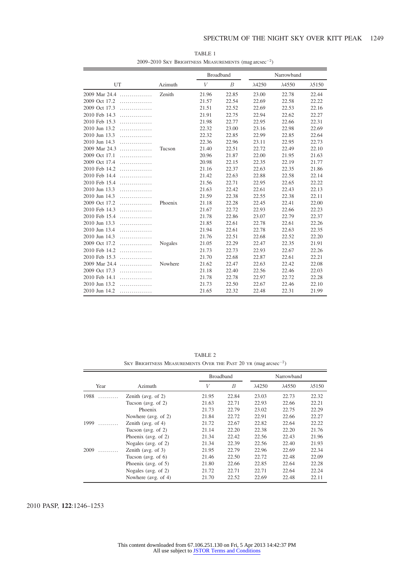|                    |         | <b>Broadband</b> |                  |                | Narrowband     |                |
|--------------------|---------|------------------|------------------|----------------|----------------|----------------|
| UT                 | Azimuth | V                | $\boldsymbol{B}$ | $\lambda$ 4250 | $\lambda$ 4550 | $\lambda$ 5150 |
| 2009 Mar 24.4<br>. | Zenith  | 21.96            | 22.85            | 23.00          | 22.78          | 22.44          |
| 2009 Oct 17.2<br>. |         | 21.57            | 22.54            | 22.69          | 22.58          | 22.22          |
| 2009 Oct 17.3<br>. |         | 21.51            | 22.52            | 22.69          | 22.53          | 22.16          |
| 2010 Feb 14.3<br>. |         | 21.91            | 22.75            | 22.94          | 22.62          | 22.27          |
| 2010 Feb 15.3<br>. |         | 21.98            | 22.77            | 22.95          | 22.66          | 22.31          |
| 2010 Jun 13.2<br>. |         | 22.32            | 23.00            | 23.16          | 22.98          | 22.69          |
| 2010 Jun 13.3<br>. |         | 22.32            | 22.85            | 22.99          | 22.85          | 22.64          |
| 2010 Jun 14.3<br>. |         | 22.36            | 22.96            | 23.11          | 22.95          | 22.73          |
| 2009 Mar 24.3<br>. | Tucson  | 21.40            | 22.51            | 22.72          | 22.49          | 22.10          |
| 2009 Oct 17.1<br>. |         | 20.96            | 21.87            | 22.00          | 21.95          | 21.63          |
| 2009 Oct 17.4<br>. |         | 20.98            | 22.15            | 22.35          | 22.19          | 21.77          |
| 2010 Feb 14.2<br>. |         | 21.16            | 22.37            | 22.63          | 22.35          | 21.86          |
| 2010 Feb 14.4<br>. |         | 21.42            | 22.63            | 22.88          | 22.58          | 22.14          |
| 2010 Feb 15.4<br>. |         | 21.56            | 22.71            | 22.95          | 22.65          | 22.22          |
| 2010 Jun 13.3<br>. |         | 21.63            | 22.42            | 22.61          | 22.43          | 22.13          |
| 2010 Jun 14.3<br>. |         | 21.59            | 22.38            | 22.55          | 22.38          | 22.11          |
| 2009 Oct 17.2<br>. | Phoenix | 21.18            | 22.28            | 22.45          | 22.41          | 22.00          |
| 2010 Feb 14.3<br>. |         | 21.67            | 22.72            | 22.93          | 22.66          | 22.23          |
| 2010 Feb 15.4<br>. |         | 21.78            | 22.86            | 23.07          | 22.79          | 22.37          |
| 2010 Jun 13.3<br>. |         | 21.85            | 22.61            | 22.78          | 22.61          | 22.26          |
| 2010 Jun 13.4<br>. |         | 21.94            | 22.61            | 22.78          | 22.63          | 22.35          |
| 2010 Jun 14.3<br>. |         | 21.76            | 22.51            | 22.68          | 22.52          | 22.20          |
| 2009 Oct 17.2<br>. | Nogales | 21.05            | 22.29            | 22.47          | 22.35          | 21.91          |
| 2010 Feb 14.2<br>. |         | 21.73            | 22.73            | 22.93          | 22.67          | 22.26          |
| 2010 Feb 15.3<br>. |         | 21.70            | 22.68            | 22.87          | 22.61          | 22.21          |
| 2009 Mar 24.4<br>. | Nowhere | 21.62            | 22.47            | 22.63          | 22.42          | 22.08          |
| 2009 Oct 17.3<br>. |         | 21.18            | 22.40            | 22.56          | 22.46          | 22.03          |
| 2010 Feb 14.1<br>. |         | 21.78            | 22.78            | 22.97          | 22.72          | 22.28          |
| 2010 Jun 13.2<br>. |         | 21.73            | 22.50            | 22.67          | 22.46          | 22.10          |
| 2010 Jun 14.2<br>. |         | 21.65            | 22.32            | 22.48          | 22.31          | 21.99          |

TABLE 1 2009–2010 SKY BRIGHTNESS MEASUREMENTS  $(mag\,arcsec^{-2})$ 

TABLE 2 SKY BRIGHTNESS MEASUREMENTS OVER THE PAST 20 YR  $(\mathrm{mag}\,\mathrm{arcsec}^{-2})$ 

|           |                        |       | <b>Broadband</b> |                | Narrowband     |                |  |
|-----------|------------------------|-------|------------------|----------------|----------------|----------------|--|
| Year      | Azimuth                | V     | B                | $\lambda$ 4250 | $\lambda$ 4550 | $\lambda$ 5150 |  |
| 1988<br>. | Zenith (avg. of $2$ )  | 21.95 | 22.84            | 23.03          | 22.73          | 22.32          |  |
|           | Tucson (avg. of $2$ )  | 21.63 | 22.71            | 22.93          | 22.66          | 22.21          |  |
|           | Phoenix                | 21.73 | 22.79            | 23.02          | 22.75          | 22.29          |  |
|           | Nowhere (avg. of 2)    | 21.84 | 22.72            | 22.91          | 22.66          | 22.27          |  |
| 1999<br>. | Zenith (avg. of $4$ )  | 21.72 | 22.67            | 22.82          | 22.64          | 22.22          |  |
|           | Tucson (avg. of $2$ )  | 21.14 | 22.20            | 22.38          | 22.20          | 21.76          |  |
|           | Phoenix (avg. of $2$ ) | 21.34 | 22.42            | 22.56          | 22.43          | 21.96          |  |
|           | Nogales (avg. of $2$ ) | 21.34 | 22.39            | 22.56          | 22.40          | 21.93          |  |
| 2009<br>. | Zenith (avg. of $3$ )  | 21.95 | 22.79            | 22.96          | 22.69          | 22.34          |  |
|           | Tucson (avg. of $6$ )  | 21.46 | 22.50            | 22.72          | 22.48          | 22.09          |  |
|           | Phoenix (avg. of $5$ ) | 21.80 | 22.66            | 22.85          | 22.64          | 22.28          |  |
|           | Nogales (avg. of $2$ ) | 21.72 | 22.71            | 22.71          | 22.64          | 22.24          |  |
|           | Nowhere (avg. of 4)    | 21.70 | 22.52            | 22.69          | 22.48          | 22.11          |  |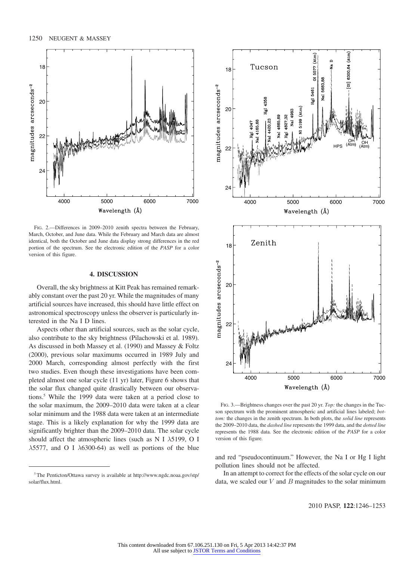

FIG. 2.—Differences in 2009–2010 zenith spectra between the February, March, October, and June data. While the February and March data are almost identical, both the October and June data display strong differences in the red portion of the spectrum. See the electronic edition of the PASP for a color version of this figure.

#### 4. DISCUSSION

Overall, the sky brightness at Kitt Peak has remained remarkably constant over the past 20 yr. While the magnitudes of many artificial sources have increased, this should have little effect on astronomical spectroscopy unless the observer is particularly interested in the Na I D lines.

Aspects other than artificial sources, such as the solar cycle, also contribute to the sky brightness (Pilachowski et al. 1989). As discussed in both Massey et al. (1990) and Massey & Foltz (2000), previous solar maximums occurred in 1989 July and 2000 March, corresponding almost perfectly with the first two studies. Even though these investigations have been completed almost one solar cycle (11 yr) later, Figure 6 shows that the solar flux changed quite drastically between our observations.5 While the 1999 data were taken at a period close to the solar maximum, the 2009–2010 data were taken at a clear solar minimum and the 1988 data were taken at an intermediate stage. This is a likely explanation for why the 1999 data are significantly brighter than the 2009–2010 data. The solar cycle should affect the atmospheric lines (such as N I  $\lambda$ 5199, O I  $\lambda$ 5577, and O I  $\lambda$ 6300-64) as well as portions of the blue



FIG. 3.—Brightness changes over the past 20 yr. Top: the changes in the Tucson spectrum with the prominent atmospheric and artificial lines labeled; bottom: the changes in the zenith spectrum. In both plots, the solid line represents the 2009–2010 data, the *dashed line* represents the 1999 data, and the *dotted line* represents the 1988 data. See the electronic edition of the PASP for a color version of this figure.

and red "pseudocontinuum." However, the Na I or Hg I light pollution lines should not be affected.

In an attempt to correct for the effects of the solar cycle on our data, we scaled our  $V$  and  $B$  magnitudes to the solar minimum

<sup>&</sup>lt;sup>5</sup> The Penticton/Ottawa survey is available at http://www.ngdc.noaa.gov/stp/ solar/flux.html.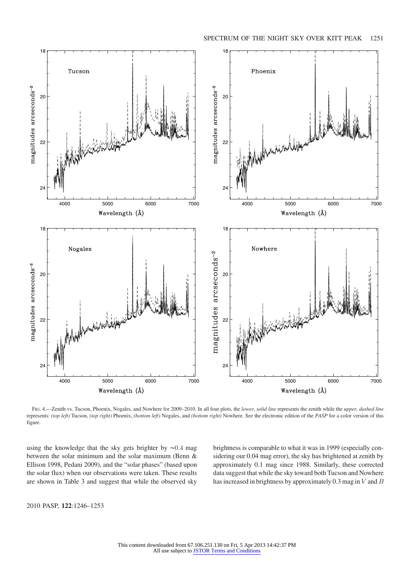

FIG. 4.—Zenith vs. Tucson, Phoenix, Nogales, and Nowhere for 2009-2010. In all four plots, the lower, solid line represents the zenith while the upper, dashed line represents: (top left) Tucson, (top right) Phoenix, (bottom left) Nogales, and (bottom right) Nowhere. See the electronic edition of the PASP for a color version of this figure.

using the knowledge that the sky gets brighter by ∼0:4 mag between the solar minimum and the solar maximum (Benn & Ellison 1998, Pedani 2009), and the "solar phases" (based upon the solar flux) when our observations were taken. These results are shown in Table 3 and suggest that while the observed sky brightness is comparable to what it was in 1999 (especially considering our 0.04 mag error), the sky has brightened at zenith by approximately 0.1 mag since 1988. Similarly, these corrected data suggest that while the sky toward both Tucson and Nowhere has increased in brightness by approximately  $0.3$  mag in  $V$  and  $B$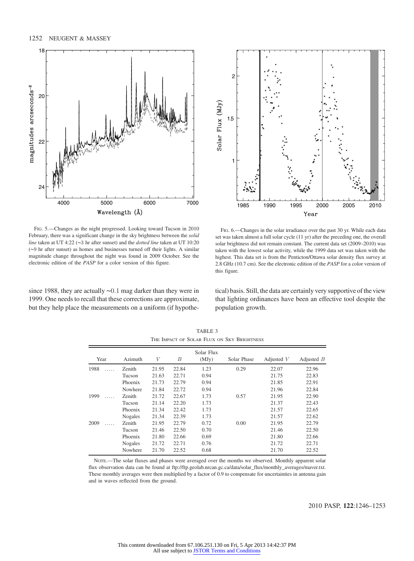

FIG. 5.—Changes as the night progressed. Looking toward Tucson in 2010 February, there was a significant change in the sky brightness between the *solid* line taken at UT 4∶22 (∼3 hr after sunset) and the dotted line taken at UT 10∶20 (∼9 hr after sunset) as homes and businesses turned off their lights. A similar magnitude change throughout the night was found in 2009 October. See the electronic edition of the PASP for a color version of this figure.

since 1988, they are actually ∼0:1 mag darker than they were in 1999. One needs to recall that these corrections are approximate, but they help place the measurements on a uniform (if hypothe-



FIG. 6.—Changes in the solar irradiance over the past 30 yr. While each data set was taken almost a full solar cycle (11 yr) after the preceding one, the overall solar brightness did not remain constant. The current data set (2009–2010) was taken with the lowest solar activity, while the 1999 data set was taken with the highest. This data set is from the Penticton/Ottawa solar density flux survey at 2.8 GHz (10.7 cm). See the electronic edition of the PASP for a color version of this figure.

tical) basis. Still, the data are certainly very supportive of the view that lighting ordinances have been an effective tool despite the population growth.

| Year      | Azimuth       | V     | В     | Solar Flux<br>(MJy) | Solar Phase | Adjusted $V$ | Adjusted $B$ |
|-----------|---------------|-------|-------|---------------------|-------------|--------------|--------------|
| 1988      | Zenith        | 21.95 | 22.84 | 1.23                | 0.29        | 22.07        | 22.96        |
|           | Tucson        | 21.63 | 22.71 | 0.94                |             | 21.75        | 22.83        |
|           | Phoenix       | 21.73 | 22.79 | 0.94                |             | 21.85        | 22.91        |
|           | Nowhere       | 21.84 | 22.72 | 0.94                |             | 21.96        | 22.84        |
| 1999<br>. | <b>Zenith</b> | 21.72 | 22.67 | 1.73                | 0.57        | 21.95        | 22.90        |
|           | Tucson        | 21.14 | 22.20 | 1.73                |             | 21.37        | 22.43        |
|           | Phoenix       | 21.34 | 22.42 | 1.73                |             | 21.57        | 22.65        |
|           | Nogales       | 21.34 | 22.39 | 1.73                |             | 21.57        | 22.62        |
| 2009<br>. | <b>Zenith</b> | 21.95 | 22.79 | 0.72                | 0.00        | 21.95        | 22.79        |
|           | Tucson        | 21.46 | 22.50 | 0.70                |             | 21.46        | 22.50        |
|           | Phoenix       | 21.80 | 22.66 | 0.69                |             | 21.80        | 22.66        |
|           | Nogales       | 21.72 | 22.71 | 0.76                |             | 21.72        | 22.71        |
|           | Nowhere       | 21.70 | 22.52 | 0.68                |             | 21.70        | 22.52        |

TABLE 3 THE IMPACT OF SOLAR FLUX ON SKY BRIGHTNESS

NOTE.—The solar fluxes and phases were averaged over the months we observed. Monthly apparent solar flux observation data can be found at ftp://ftp.geolab.nrcan.gc.ca/data/solar\_flux/monthly\_averages/maver.txt. These monthly averages were then multiplied by a factor of 0.9 to compensate for uncertainties in antenna gain and in waves reflected from the ground.